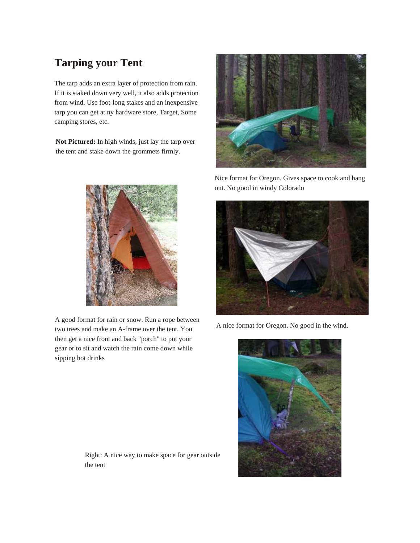## **Tarping your Tent**

The tarp adds an extra layer of protection from rain. If it is staked down very well, it also adds protection from wind. Use foot-long stakes and an inexpensive tarp you can get at ny hardware store, Target, Some camping stores, etc.

**Not Pictured:** In high winds, just lay the tarp over the tent and stake down the grommets firmly.



A good format for rain or snow. Run a rope between two trees and make an A-frame over the tent. You then get a nice front and back "porch" to put your gear or to sit and watch the rain come down while sipping hot drinks



Nice format for Oregon. Gives space to cook and hang out. No good in windy Colorado



A nice format for Oregon. No good in the wind.



Right: A nice way to make space for gear outside the tent